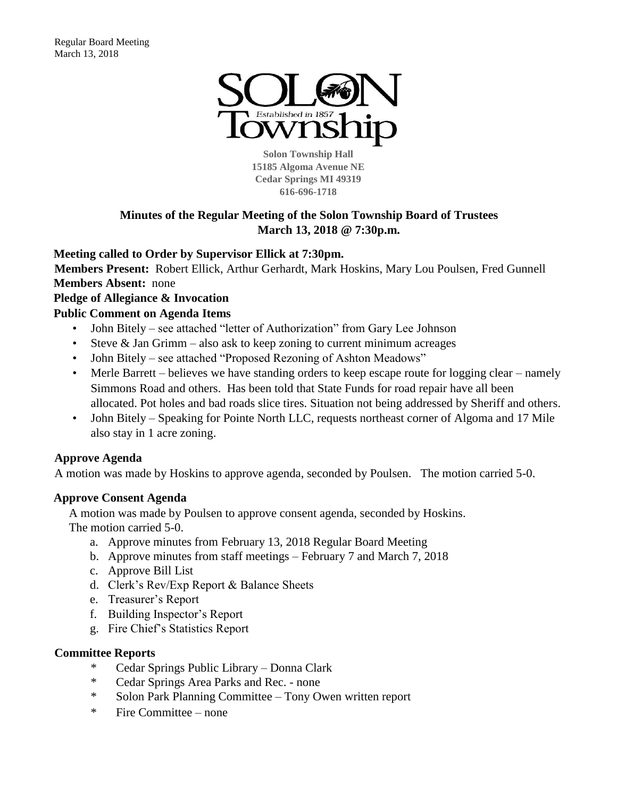

**Solon Township Hall 15185 Algoma Avenue NE Cedar Springs MI 49319 616-696-1718** 

# **Minutes of the Regular Meeting of the Solon Township Board of Trustees March 13, 2018 @ 7:30p.m.**

#### **Meeting called to Order by Supervisor Ellick at 7:30pm.**

**Members Present:** Robert Ellick, Arthur Gerhardt, Mark Hoskins, Mary Lou Poulsen, Fred Gunnell **Members Absent:** none

# **Pledge of Allegiance & Invocation**

#### **Public Comment on Agenda Items**

- John Bitely see attached "letter of Authorization" from Gary Lee Johnson
- Steve  $\&$  Jan Grimm also ask to keep zoning to current minimum acreages
- John Bitely see attached "Proposed Rezoning of Ashton Meadows"
- Merle Barrett believes we have standing orders to keep escape route for logging clear namely Simmons Road and others. Has been told that State Funds for road repair have all been allocated. Pot holes and bad roads slice tires. Situation not being addressed by Sheriff and others.
- John Bitely Speaking for Pointe North LLC, requests northeast corner of Algoma and 17 Mile also stay in 1 acre zoning.

#### **Approve Agenda**

A motion was made by Hoskins to approve agenda, seconded by Poulsen. The motion carried 5-0.

#### **Approve Consent Agenda**

A motion was made by Poulsen to approve consent agenda, seconded by Hoskins. The motion carried 5-0.

- a. Approve minutes from February 13, 2018 Regular Board Meeting
- b. Approve minutes from staff meetings February 7 and March 7, 2018
- c. Approve Bill List
- d. Clerk's Rev/Exp Report & Balance Sheets
- e. Treasurer's Report
- f. Building Inspector's Report
- g. Fire Chief's Statistics Report

#### **Committee Reports**

- \* Cedar Springs Public Library Donna Clark
- \* Cedar Springs Area Parks and Rec. none
- \* Solon Park Planning Committee Tony Owen written report
- \* Fire Committee none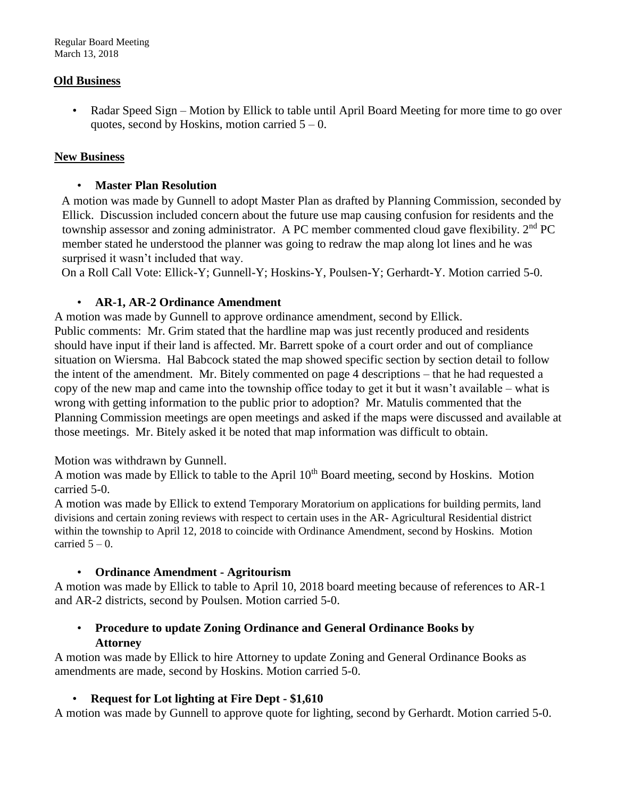#### **Old Business**

• Radar Speed Sign – Motion by Ellick to table until April Board Meeting for more time to go over quotes, second by Hoskins, motion carried  $5 - 0$ .

#### **New Business**

#### • **Master Plan Resolution**

A motion was made by Gunnell to adopt Master Plan as drafted by Planning Commission, seconded by Ellick. Discussion included concern about the future use map causing confusion for residents and the township assessor and zoning administrator. A PC member commented cloud gave flexibility.  $2<sup>nd</sup>$  PC member stated he understood the planner was going to redraw the map along lot lines and he was surprised it wasn't included that way.

On a Roll Call Vote: Ellick-Y; Gunnell-Y; Hoskins-Y, Poulsen-Y; Gerhardt-Y. Motion carried 5-0.

#### • **AR-1, AR-2 Ordinance Amendment**

A motion was made by Gunnell to approve ordinance amendment, second by Ellick. Public comments: Mr. Grim stated that the hardline map was just recently produced and residents should have input if their land is affected. Mr. Barrett spoke of a court order and out of compliance situation on Wiersma. Hal Babcock stated the map showed specific section by section detail to follow the intent of the amendment. Mr. Bitely commented on page 4 descriptions – that he had requested a copy of the new map and came into the township office today to get it but it wasn't available – what is wrong with getting information to the public prior to adoption? Mr. Matulis commented that the Planning Commission meetings are open meetings and asked if the maps were discussed and available at those meetings. Mr. Bitely asked it be noted that map information was difficult to obtain.

#### Motion was withdrawn by Gunnell.

A motion was made by Ellick to table to the April 10<sup>th</sup> Board meeting, second by Hoskins. Motion carried 5-0.

A motion was made by Ellick to extend Temporary Moratorium on applications for building permits, land divisions and certain zoning reviews with respect to certain uses in the AR- Agricultural Residential district within the township to April 12, 2018 to coincide with Ordinance Amendment, second by Hoskins. Motion carried  $5 - 0$ .

#### • **Ordinance Amendment - Agritourism**

A motion was made by Ellick to table to April 10, 2018 board meeting because of references to AR-1 and AR-2 districts, second by Poulsen. Motion carried 5-0.

#### • **Procedure to update Zoning Ordinance and General Ordinance Books by Attorney**

A motion was made by Ellick to hire Attorney to update Zoning and General Ordinance Books as amendments are made, second by Hoskins. Motion carried 5-0.

#### • **Request for Lot lighting at Fire Dept - \$1,610**

A motion was made by Gunnell to approve quote for lighting, second by Gerhardt. Motion carried 5-0.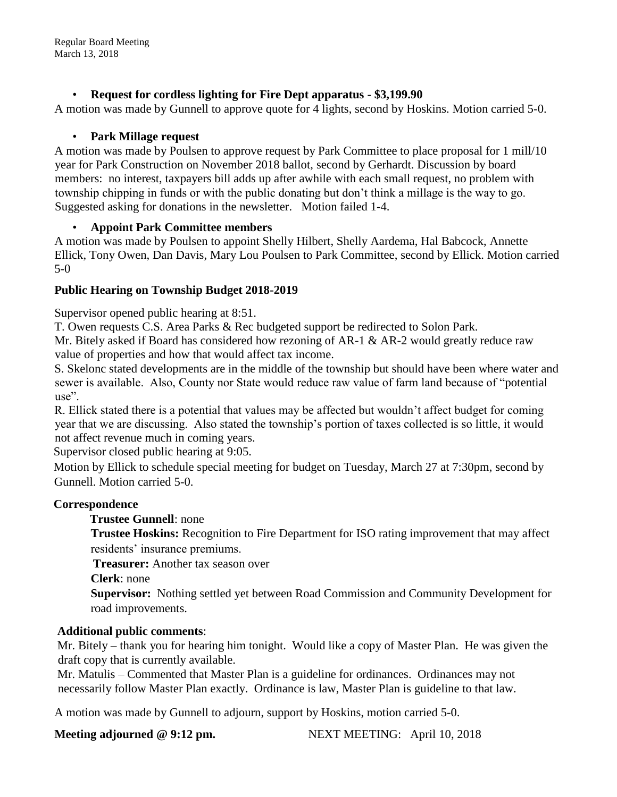# • **Request for cordless lighting for Fire Dept apparatus - \$3,199.90**

A motion was made by Gunnell to approve quote for 4 lights, second by Hoskins. Motion carried 5-0.

### • **Park Millage request**

A motion was made by Poulsen to approve request by Park Committee to place proposal for 1 mill/10 year for Park Construction on November 2018 ballot, second by Gerhardt. Discussion by board members: no interest, taxpayers bill adds up after awhile with each small request, no problem with township chipping in funds or with the public donating but don't think a millage is the way to go. Suggested asking for donations in the newsletter. Motion failed 1-4.

# • **Appoint Park Committee members**

A motion was made by Poulsen to appoint Shelly Hilbert, Shelly Aardema, Hal Babcock, Annette Ellick, Tony Owen, Dan Davis, Mary Lou Poulsen to Park Committee, second by Ellick. Motion carried 5-0

# **Public Hearing on Township Budget 2018-2019**

Supervisor opened public hearing at 8:51.

T. Owen requests C.S. Area Parks & Rec budgeted support be redirected to Solon Park.

Mr. Bitely asked if Board has considered how rezoning of AR-1 & AR-2 would greatly reduce raw value of properties and how that would affect tax income.

S. Skelonc stated developments are in the middle of the township but should have been where water and sewer is available. Also, County nor State would reduce raw value of farm land because of "potential  $use"$ .

R. Ellick stated there is a potential that values may be affected but wouldn't affect budget for coming year that we are discussing. Also stated the township's portion of taxes collected is so little, it would not affect revenue much in coming years.

Supervisor closed public hearing at 9:05.

Motion by Ellick to schedule special meeting for budget on Tuesday, March 27 at 7:30pm, second by Gunnell. Motion carried 5-0.

# **Correspondence**

#### **Trustee Gunnell**: none

**Trustee Hoskins:** Recognition to Fire Department for ISO rating improvement that may affect residents' insurance premiums.

**Treasurer:** Another tax season over

**Clerk**: none

**Supervisor:** Nothing settled yet between Road Commission and Community Development for road improvements.

# **Additional public comments**:

Mr. Bitely – thank you for hearing him tonight. Would like a copy of Master Plan. He was given the draft copy that is currently available.

Mr. Matulis – Commented that Master Plan is a guideline for ordinances. Ordinances may not necessarily follow Master Plan exactly. Ordinance is law, Master Plan is guideline to that law.

A motion was made by Gunnell to adjourn, support by Hoskins, motion carried 5-0.

**Meeting adjourned @ 9:12 pm.** NEXT MEETING: April 10, 2018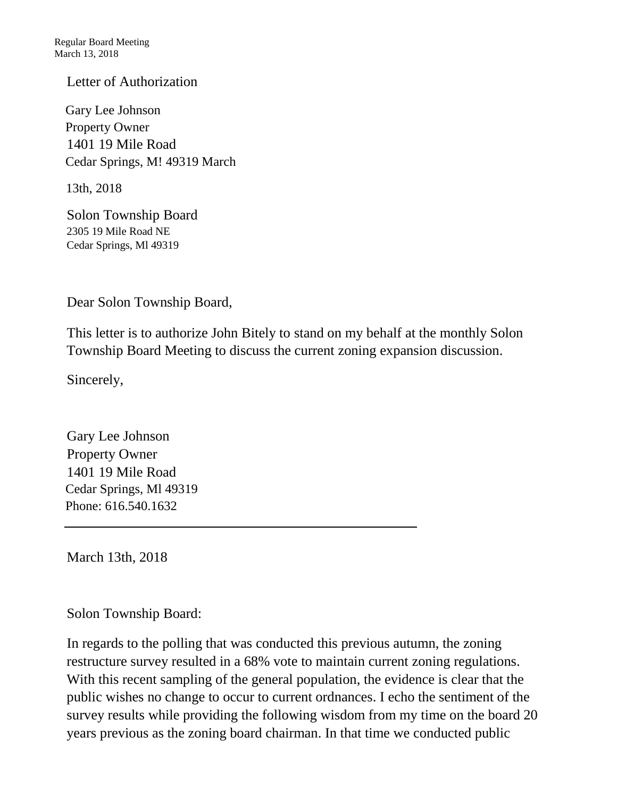# Letter of Authorization

Gary Lee Johnson Property Owner 1401 19 Mile Road Cedar Springs, M! 49319 March

13th, 2018

Solon Township Board 2305 19 Mile Road NE Cedar Springs, Ml 49319

Dear Solon Township Board,

This letter is to authorize John Bitely to stand on my behalf at the monthly Solon Township Board Meeting to discuss the current zoning expansion discussion.

Sincerely,

Gary Lee Johnson Property Owner 1401 19 Mile Road Cedar Springs, Ml 49319 Phone: 616.540.1632

March 13th, 2018

Solon Township Board:

In regards to the polling that was conducted this previous autumn, the zoning restructure survey resulted in a 68% vote to maintain current zoning regulations. With this recent sampling of the general population, the evidence is clear that the public wishes no change to occur to current ordnances. I echo the sentiment of the survey results while providing the following wisdom from my time on the board 20 years previous as the zoning board chairman. In that time we conducted public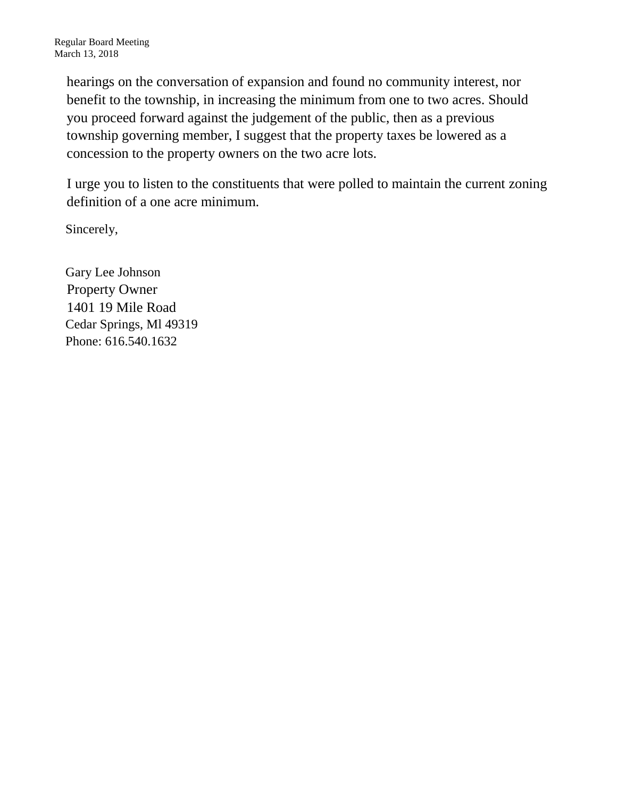hearings on the conversation of expansion and found no community interest, nor benefit to the township, in increasing the minimum from one to two acres. Should you proceed forward against the judgement of the public, then as a previous township governing member, I suggest that the property taxes be lowered as a concession to the property owners on the two acre lots.

I urge you to listen to the constituents that were polled to maintain the current zoning definition of a one acre minimum.

Sincerely,

Gary Lee Johnson Property Owner 1401 19 Mile Road Cedar Springs, Ml 49319 Phone: 616.540.1632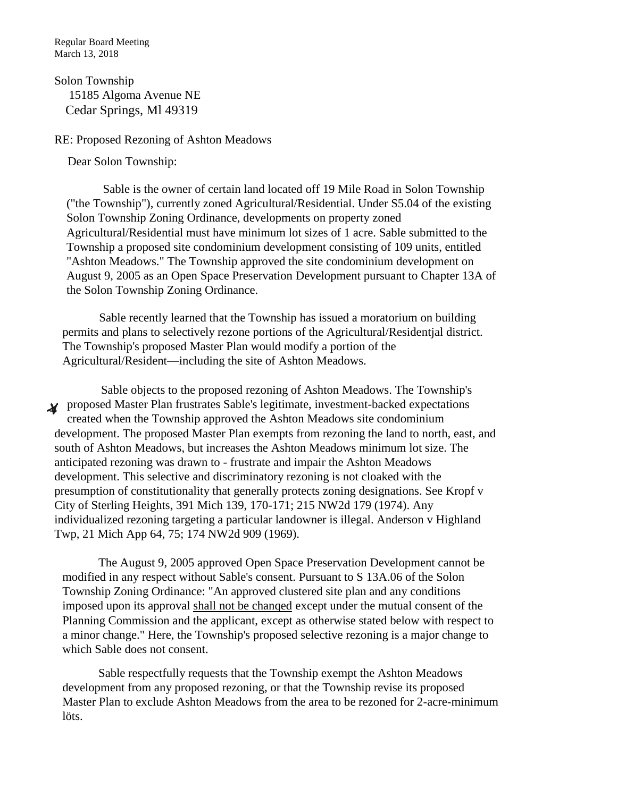Regular Board Meeting March 13, 2018

Solon Township 15185 Algoma Avenue NE Cedar Springs, Ml 49319

#### RE: Proposed Rezoning of Ashton Meadows

Dear Solon Township:

Sable is the owner of certain land located off 19 Mile Road in Solon Township ("the Township"), currently zoned Agricultural/Residential. Under S5.04 of the existing Solon Township Zoning Ordinance, developments on property zoned Agricultural/Residential must have minimum lot sizes of 1 acre. Sable submitted to the Township a proposed site condominium development consisting of 109 units, entitled "Ashton Meadows." The Township approved the site condominium development on August 9, 2005 as an Open Space Preservation Development pursuant to Chapter 13A of the Solon Township Zoning Ordinance.

Sable recently learned that the Township has issued a moratorium on building permits and plans to selectively rezone portions of the Agricultural/Residentjal district. The Township's proposed Master Plan would modify a portion of the Agricultural/Resident—including the site of Ashton Meadows.

Sable objects to the proposed rezoning of Ashton Meadows. The Township's **Proposed Master Plan frustrates Sable's legitimate, investment-backed expectations** created when the Township approved the Ashton Meadows site condominium development. The proposed Master Plan exempts from rezoning the land to north, east, and south of Ashton Meadows, but increases the Ashton Meadows minimum lot size. The anticipated rezoning was drawn to - frustrate and impair the Ashton Meadows development. This selective and discriminatory rezoning is not cloaked with the presumption of constitutionality that generally protects zoning designations. See Kropf v City of Sterling Heights, 391 Mich 139, 170-171; 215 NW2d 179 (1974). Any individualized rezoning targeting a particular landowner is illegal. Anderson v Highland Twp, 21 Mich App 64, 75; 174 NW2d 909 (1969).

The August 9, 2005 approved Open Space Preservation Development cannot be modified in any respect without Sable's consent. Pursuant to S 13A.06 of the Solon Township Zoning Ordinance: "An approved clustered site plan and any conditions imposed upon its approval shall not be chanqed except under the mutual consent of the Planning Commission and the applicant, except as otherwise stated below with respect to a minor change." Here, the Township's proposed selective rezoning is a major change to which Sable does not consent.

Sable respectfully requests that the Township exempt the Ashton Meadows development from any proposed rezoning, or that the Township revise its proposed Master Plan to exclude Ashton Meadows from the area to be rezoned for 2-acre-minimum löts.